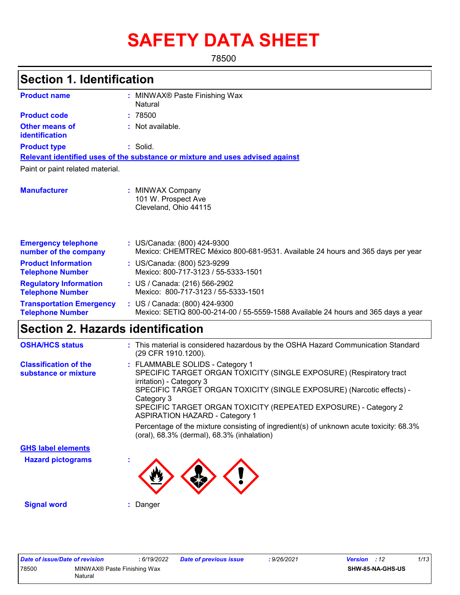# **SAFETY DATA SHEET**

78500

| <b>Section 1. Identification</b>                           |                                                                                                                                                                                                                                                                                                                                                                                                                                                                               |
|------------------------------------------------------------|-------------------------------------------------------------------------------------------------------------------------------------------------------------------------------------------------------------------------------------------------------------------------------------------------------------------------------------------------------------------------------------------------------------------------------------------------------------------------------|
| <b>Product name</b>                                        | MINWAX® Paste Finishing Wax                                                                                                                                                                                                                                                                                                                                                                                                                                                   |
|                                                            | Natural                                                                                                                                                                                                                                                                                                                                                                                                                                                                       |
| <b>Product code</b>                                        | : 78500                                                                                                                                                                                                                                                                                                                                                                                                                                                                       |
| <b>Other means of</b><br>identification                    | : Not available.                                                                                                                                                                                                                                                                                                                                                                                                                                                              |
| <b>Product type</b>                                        | : Solid.                                                                                                                                                                                                                                                                                                                                                                                                                                                                      |
|                                                            | Relevant identified uses of the substance or mixture and uses advised against                                                                                                                                                                                                                                                                                                                                                                                                 |
| Paint or paint related material.                           |                                                                                                                                                                                                                                                                                                                                                                                                                                                                               |
| <b>Manufacturer</b>                                        | : MINWAX Company<br>101 W. Prospect Ave<br>Cleveland, Ohio 44115                                                                                                                                                                                                                                                                                                                                                                                                              |
| <b>Emergency telephone</b><br>number of the company        | : US/Canada: (800) 424-9300<br>Mexico: CHEMTREC México 800-681-9531. Available 24 hours and 365 days per year                                                                                                                                                                                                                                                                                                                                                                 |
| <b>Product Information</b><br><b>Telephone Number</b>      | : US/Canada: (800) 523-9299<br>Mexico: 800-717-3123 / 55-5333-1501                                                                                                                                                                                                                                                                                                                                                                                                            |
| <b>Regulatory Information</b><br><b>Telephone Number</b>   | : US / Canada: (216) 566-2902<br>Mexico: 800-717-3123 / 55-5333-1501                                                                                                                                                                                                                                                                                                                                                                                                          |
| <b>Transportation Emergency</b><br><b>Telephone Number</b> | : US / Canada: (800) 424-9300<br>Mexico: SETIQ 800-00-214-00 / 55-5559-1588 Available 24 hours and 365 days a year                                                                                                                                                                                                                                                                                                                                                            |
| <b>Section 2. Hazards identification</b>                   |                                                                                                                                                                                                                                                                                                                                                                                                                                                                               |
| <b>OSHA/HCS status</b>                                     | : This material is considered hazardous by the OSHA Hazard Communication Standard<br>(29 CFR 1910.1200).                                                                                                                                                                                                                                                                                                                                                                      |
| <b>Classification of the</b><br>substance or mixture       | : FLAMMABLE SOLIDS - Category 1<br>SPECIFIC TARGET ORGAN TOXICITY (SINGLE EXPOSURE) (Respiratory tract<br>irritation) - Category 3<br>SPECIFIC TARGET ORGAN TOXICITY (SINGLE EXPOSURE) (Narcotic effects) -<br>Category 3<br>SPECIFIC TARGET ORGAN TOXICITY (REPEATED EXPOSURE) - Category 2<br><b>ASPIRATION HAZARD - Category 1</b><br>Percentage of the mixture consisting of ingredient(s) of unknown acute toxicity: 68.3%<br>(oral), 68.3% (dermal), 68.3% (inhalation) |
| <b>GHS label elements</b>                                  |                                                                                                                                                                                                                                                                                                                                                                                                                                                                               |
| <b>Hazard pictograms</b>                                   |                                                                                                                                                                                                                                                                                                                                                                                                                                                                               |

**Signal word :** Danger

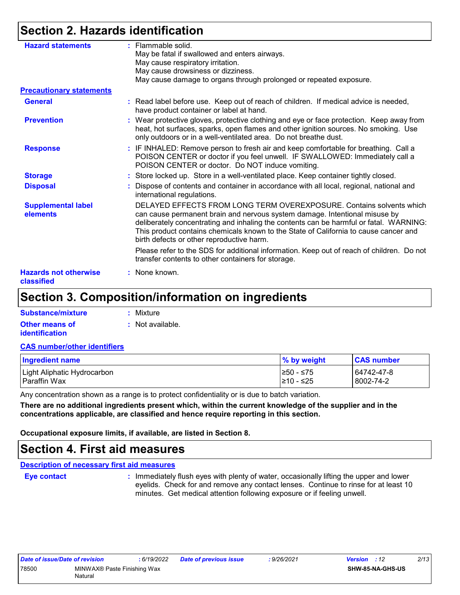# **Section 2. Hazards identification**

| <b>Hazard statements</b>                   | : Flammable solid.<br>May be fatal if swallowed and enters airways.<br>May cause respiratory irritation.<br>May cause drowsiness or dizziness.<br>May cause damage to organs through prolonged or repeated exposure.                                                                                                                                                              |
|--------------------------------------------|-----------------------------------------------------------------------------------------------------------------------------------------------------------------------------------------------------------------------------------------------------------------------------------------------------------------------------------------------------------------------------------|
| <b>Precautionary statements</b>            |                                                                                                                                                                                                                                                                                                                                                                                   |
| <b>General</b>                             | : Read label before use. Keep out of reach of children. If medical advice is needed,<br>have product container or label at hand.                                                                                                                                                                                                                                                  |
| <b>Prevention</b>                          | : Wear protective gloves, protective clothing and eye or face protection. Keep away from<br>heat, hot surfaces, sparks, open flames and other ignition sources. No smoking. Use<br>only outdoors or in a well-ventilated area. Do not breathe dust.                                                                                                                               |
| <b>Response</b>                            | : IF INHALED: Remove person to fresh air and keep comfortable for breathing. Call a<br>POISON CENTER or doctor if you feel unwell. IF SWALLOWED: Immediately call a<br>POISON CENTER or doctor. Do NOT induce vomiting.                                                                                                                                                           |
| <b>Storage</b>                             | : Store locked up. Store in a well-ventilated place. Keep container tightly closed.                                                                                                                                                                                                                                                                                               |
| <b>Disposal</b>                            | : Dispose of contents and container in accordance with all local, regional, national and<br>international regulations.                                                                                                                                                                                                                                                            |
| <b>Supplemental label</b><br>elements      | DELAYED EFFECTS FROM LONG TERM OVEREXPOSURE. Contains solvents which<br>can cause permanent brain and nervous system damage. Intentional misuse by<br>deliberately concentrating and inhaling the contents can be harmful or fatal. WARNING:<br>This product contains chemicals known to the State of California to cause cancer and<br>birth defects or other reproductive harm. |
|                                            | Please refer to the SDS for additional information. Keep out of reach of children. Do not<br>transfer contents to other containers for storage.                                                                                                                                                                                                                                   |
| <b>Hazards not otherwise</b><br>classified | : None known.                                                                                                                                                                                                                                                                                                                                                                     |

### **Section 3. Composition/information on ingredients**

| Substance/mixture     | : Mixture                   |
|-----------------------|-----------------------------|
| <b>Other means of</b> | $\therefore$ Not available. |
| <i>identification</i> |                             |

#### **CAS number/other identifiers**

| <b>Ingredient name</b>      | % by weight | <b>CAS number</b> |
|-----------------------------|-------------|-------------------|
| Light Aliphatic Hydrocarbon | I≥50 - ≤75  | 64742-47-8        |
| Paraffin Wax                | 1≥10 - ≤25  | l 8002-74-2       |

Any concentration shown as a range is to protect confidentiality or is due to batch variation.

**There are no additional ingredients present which, within the current knowledge of the supplier and in the concentrations applicable, are classified and hence require reporting in this section.**

**Occupational exposure limits, if available, are listed in Section 8.**

### **Section 4. First aid measures**

#### **Description of necessary first aid measures**

**Eye contact :**

: Immediately flush eyes with plenty of water, occasionally lifting the upper and lower eyelids. Check for and remove any contact lenses. Continue to rinse for at least 10 minutes. Get medical attention following exposure or if feeling unwell.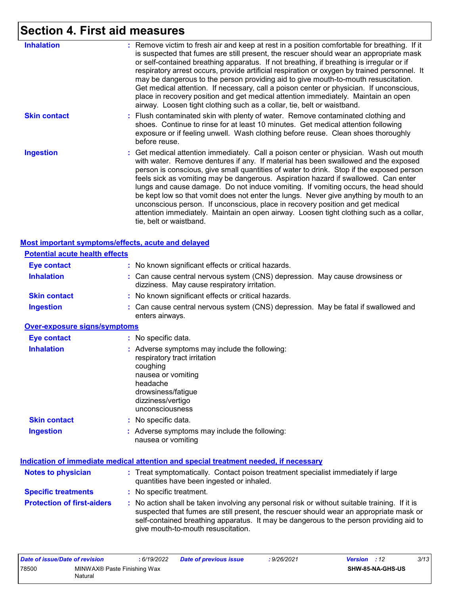# **Section 4. First aid measures**

| <b>Inhalation</b>   | : Remove victim to fresh air and keep at rest in a position comfortable for breathing. If it<br>is suspected that fumes are still present, the rescuer should wear an appropriate mask<br>or self-contained breathing apparatus. If not breathing, if breathing is irregular or if<br>respiratory arrest occurs, provide artificial respiration or oxygen by trained personnel. It<br>may be dangerous to the person providing aid to give mouth-to-mouth resuscitation.<br>Get medical attention. If necessary, call a poison center or physician. If unconscious,<br>place in recovery position and get medical attention immediately. Maintain an open<br>airway. Loosen tight clothing such as a collar, tie, belt or waistband.                    |
|---------------------|---------------------------------------------------------------------------------------------------------------------------------------------------------------------------------------------------------------------------------------------------------------------------------------------------------------------------------------------------------------------------------------------------------------------------------------------------------------------------------------------------------------------------------------------------------------------------------------------------------------------------------------------------------------------------------------------------------------------------------------------------------|
| <b>Skin contact</b> | : Flush contaminated skin with plenty of water. Remove contaminated clothing and<br>shoes. Continue to rinse for at least 10 minutes. Get medical attention following<br>exposure or if feeling unwell. Wash clothing before reuse. Clean shoes thoroughly<br>before reuse.                                                                                                                                                                                                                                                                                                                                                                                                                                                                             |
| <b>Ingestion</b>    | : Get medical attention immediately. Call a poison center or physician. Wash out mouth<br>with water. Remove dentures if any. If material has been swallowed and the exposed<br>person is conscious, give small quantities of water to drink. Stop if the exposed person<br>feels sick as vomiting may be dangerous. Aspiration hazard if swallowed. Can enter<br>lungs and cause damage. Do not induce vomiting. If vomiting occurs, the head should<br>be kept low so that vomit does not enter the lungs. Never give anything by mouth to an<br>unconscious person. If unconscious, place in recovery position and get medical<br>attention immediately. Maintain an open airway. Loosen tight clothing such as a collar,<br>tie, belt or waistband. |

| <b>Most important symptoms/effects, acute and delayed</b> |                                                                                                                                                                                                                                                                                                                         |
|-----------------------------------------------------------|-------------------------------------------------------------------------------------------------------------------------------------------------------------------------------------------------------------------------------------------------------------------------------------------------------------------------|
| <b>Potential acute health effects</b>                     |                                                                                                                                                                                                                                                                                                                         |
| <b>Eye contact</b>                                        | : No known significant effects or critical hazards.                                                                                                                                                                                                                                                                     |
| <b>Inhalation</b>                                         | : Can cause central nervous system (CNS) depression. May cause drowsiness or<br>dizziness. May cause respiratory irritation.                                                                                                                                                                                            |
| <b>Skin contact</b>                                       | : No known significant effects or critical hazards.                                                                                                                                                                                                                                                                     |
| <b>Ingestion</b>                                          | : Can cause central nervous system (CNS) depression. May be fatal if swallowed and<br>enters airways.                                                                                                                                                                                                                   |
| <b>Over-exposure signs/symptoms</b>                       |                                                                                                                                                                                                                                                                                                                         |
| <b>Eye contact</b>                                        | : No specific data.                                                                                                                                                                                                                                                                                                     |
| <b>Inhalation</b>                                         | : Adverse symptoms may include the following:<br>respiratory tract irritation<br>coughing<br>nausea or vomiting<br>headache<br>drowsiness/fatigue<br>dizziness/vertigo<br>unconsciousness                                                                                                                               |
| <b>Skin contact</b>                                       | : No specific data.                                                                                                                                                                                                                                                                                                     |
| <b>Ingestion</b>                                          | : Adverse symptoms may include the following:<br>nausea or vomiting                                                                                                                                                                                                                                                     |
|                                                           | Indication of immediate medical attention and special treatment needed, if necessary                                                                                                                                                                                                                                    |
| <b>Notes to physician</b>                                 | : Treat symptomatically. Contact poison treatment specialist immediately if large<br>quantities have been ingested or inhaled.                                                                                                                                                                                          |
| <b>Specific treatments</b>                                | : No specific treatment.                                                                                                                                                                                                                                                                                                |
| <b>Protection of first-aiders</b>                         | : No action shall be taken involving any personal risk or without suitable training. If it is<br>suspected that fumes are still present, the rescuer should wear an appropriate mask or<br>self-contained breathing apparatus. It may be dangerous to the person providing aid to<br>give mouth-to-mouth resuscitation. |

| Date of issue/Date of revision       |         | : 6/19/2022 | <b>Date of previous issue</b> | : 9/26/2021 | <b>Version</b> : 12     | 3/13 |
|--------------------------------------|---------|-------------|-------------------------------|-------------|-------------------------|------|
| 78500<br>MINWAX® Paste Finishing Wax |         |             |                               |             | <b>SHW-85-NA-GHS-US</b> |      |
|                                      | Natural |             |                               |             |                         |      |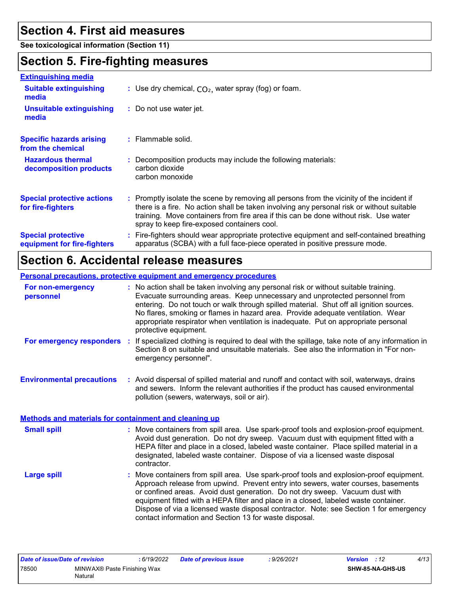## **Section 4. First aid measures**

**See toxicological information (Section 11)**

### **Section 5. Fire-fighting measures**

| <b>Extinguishing media</b>                               |                                                                                                                                                                                                                                                                                                                               |
|----------------------------------------------------------|-------------------------------------------------------------------------------------------------------------------------------------------------------------------------------------------------------------------------------------------------------------------------------------------------------------------------------|
| <b>Suitable extinguishing</b><br>media                   | : Use dry chemical, $CO2$ , water spray (fog) or foam.                                                                                                                                                                                                                                                                        |
| <b>Unsuitable extinguishing</b><br>media                 | : Do not use water jet.                                                                                                                                                                                                                                                                                                       |
| <b>Specific hazards arising</b><br>from the chemical     | $:$ Flammable solid.                                                                                                                                                                                                                                                                                                          |
| <b>Hazardous thermal</b><br>decomposition products       | Decomposition products may include the following materials:<br>carbon dioxide<br>carbon monoxide                                                                                                                                                                                                                              |
| <b>Special protective actions</b><br>for fire-fighters   | : Promptly isolate the scene by removing all persons from the vicinity of the incident if<br>there is a fire. No action shall be taken involving any personal risk or without suitable<br>training. Move containers from fire area if this can be done without risk. Use water<br>spray to keep fire-exposed containers cool. |
| <b>Special protective</b><br>equipment for fire-fighters | Fire-fighters should wear appropriate protective equipment and self-contained breathing<br>apparatus (SCBA) with a full face-piece operated in positive pressure mode.                                                                                                                                                        |
|                                                          |                                                                                                                                                                                                                                                                                                                               |

## **Section 6. Accidental release measures**

**Personal precautions, protective equipment and emergency procedures**

| For non-emergency<br>personnel   | : No action shall be taken involving any personal risk or without suitable training.<br>Evacuate surrounding areas. Keep unnecessary and unprotected personnel from<br>entering. Do not touch or walk through spilled material. Shut off all ignition sources.<br>No flares, smoking or flames in hazard area. Provide adequate ventilation. Wear<br>appropriate respirator when ventilation is inadequate. Put on appropriate personal<br>protective equipment. |
|----------------------------------|------------------------------------------------------------------------------------------------------------------------------------------------------------------------------------------------------------------------------------------------------------------------------------------------------------------------------------------------------------------------------------------------------------------------------------------------------------------|
| For emergency responders         | If specialized clothing is required to deal with the spillage, take note of any information in<br>Section 8 on suitable and unsuitable materials. See also the information in "For non-<br>emergency personnel".                                                                                                                                                                                                                                                 |
| <b>Environmental precautions</b> | Avoid dispersal of spilled material and runoff and contact with soil waterways drains                                                                                                                                                                                                                                                                                                                                                                            |

**Environmental precautions : Avo :** Avoid dispersal of spilled material and runoff and contact with soil, waterways, drains and sewers. Inform the relevant authorities if the product has caused environmental pollution (sewers, waterways, soil or air).

Move containers from spill area. Use spark-proof tools and explosion-proof equipment. Avoid dust generation. Do not dry sweep. Vacuum dust with equipment fitted with a HEPA filter and place in a closed, labeled waste container. Place spilled material in a designated, labeled waste container. Dispose of via a licensed waste disposal contractor. **Small spill : Methods and materials for containment and cleaning up**

Move containers from spill area. Use spark-proof tools and explosion-proof equipment. Approach release from upwind. Prevent entry into sewers, water courses, basements or confined areas. Avoid dust generation. Do not dry sweep. Vacuum dust with equipment fitted with a HEPA filter and place in a closed, labeled waste container. Dispose of via a licensed waste disposal contractor. Note: see Section 1 for emergency contact information and Section 13 for waste disposal. **Large spill :**

| Date of issue/Date of revision |                             | : 6/19/2022 | <b>Date of previous issue</b> | : 9/26/2021 | <b>Version</b> : 12 |                         | 4/13 |
|--------------------------------|-----------------------------|-------------|-------------------------------|-------------|---------------------|-------------------------|------|
| 78500                          | MINWAX® Paste Finishing Wax |             |                               |             |                     | <b>SHW-85-NA-GHS-US</b> |      |
|                                | Natural                     |             |                               |             |                     |                         |      |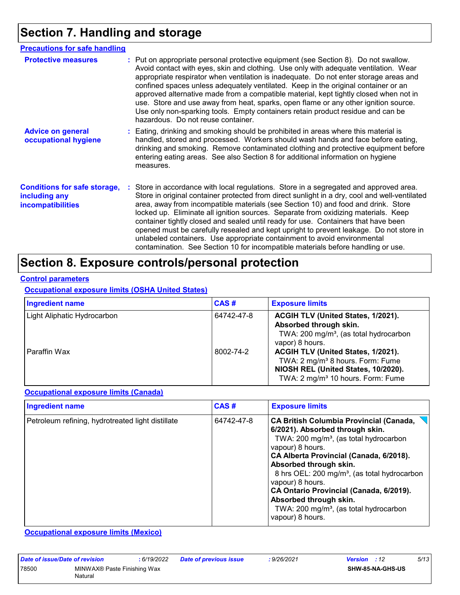# **Section 7. Handling and storage**

| <b>Precautions for safe handling</b>                                             |  |                                                                                                                                                                                                                                                                                                                                                                                                                                                                                                                                                                                                                                                                                                                    |
|----------------------------------------------------------------------------------|--|--------------------------------------------------------------------------------------------------------------------------------------------------------------------------------------------------------------------------------------------------------------------------------------------------------------------------------------------------------------------------------------------------------------------------------------------------------------------------------------------------------------------------------------------------------------------------------------------------------------------------------------------------------------------------------------------------------------------|
| <b>Protective measures</b>                                                       |  | : Put on appropriate personal protective equipment (see Section 8). Do not swallow.<br>Avoid contact with eyes, skin and clothing. Use only with adequate ventilation. Wear<br>appropriate respirator when ventilation is inadequate. Do not enter storage areas and<br>confined spaces unless adequately ventilated. Keep in the original container or an<br>approved alternative made from a compatible material, kept tightly closed when not in<br>use. Store and use away from heat, sparks, open flame or any other ignition source.<br>Use only non-sparking tools. Empty containers retain product residue and can be<br>hazardous. Do not reuse container.                                                |
| <b>Advice on general</b><br>occupational hygiene                                 |  | : Eating, drinking and smoking should be prohibited in areas where this material is<br>handled, stored and processed. Workers should wash hands and face before eating,<br>drinking and smoking. Remove contaminated clothing and protective equipment before<br>entering eating areas. See also Section 8 for additional information on hygiene<br>measures.                                                                                                                                                                                                                                                                                                                                                      |
| <b>Conditions for safe storage,</b><br>including any<br><i>incompatibilities</i> |  | : Store in accordance with local regulations. Store in a segregated and approved area.<br>Store in original container protected from direct sunlight in a dry, cool and well-ventilated<br>area, away from incompatible materials (see Section 10) and food and drink. Store<br>locked up. Eliminate all ignition sources. Separate from oxidizing materials. Keep<br>container tightly closed and sealed until ready for use. Containers that have been<br>opened must be carefully resealed and kept upright to prevent leakage. Do not store in<br>unlabeled containers. Use appropriate containment to avoid environmental<br>contamination. See Section 10 for incompatible materials before handling or use. |

# **Section 8. Exposure controls/personal protection**

#### **Control parameters**

#### **Occupational exposure limits (OSHA United States)**

| <b>Ingredient name</b>      | CAS#       | <b>Exposure limits</b>                                                                                                                                                     |
|-----------------------------|------------|----------------------------------------------------------------------------------------------------------------------------------------------------------------------------|
| Light Aliphatic Hydrocarbon | 64742-47-8 | ACGIH TLV (United States, 1/2021).<br>Absorbed through skin.<br>TWA: 200 mg/m <sup>3</sup> , (as total hydrocarbon<br>vapor) 8 hours.                                      |
| Paraffin Wax                | 8002-74-2  | ACGIH TLV (United States, 1/2021).<br>TWA: 2 mg/m <sup>3</sup> 8 hours. Form: Fume<br>NIOSH REL (United States, 10/2020).<br>TWA: 2 mg/m <sup>3</sup> 10 hours. Form: Fume |

#### **Occupational exposure limits (Canada)**

| <b>Ingredient name</b>                            | CAS#       | <b>Exposure limits</b>                                                                                                                                                                                                                                                                                                                                                                                                                                          |  |  |
|---------------------------------------------------|------------|-----------------------------------------------------------------------------------------------------------------------------------------------------------------------------------------------------------------------------------------------------------------------------------------------------------------------------------------------------------------------------------------------------------------------------------------------------------------|--|--|
| Petroleum refining, hydrotreated light distillate | 64742-47-8 | <b>CA British Columbia Provincial (Canada,</b><br>6/2021). Absorbed through skin.<br>TWA: 200 mg/m <sup>3</sup> , (as total hydrocarbon<br>vapour) 8 hours.<br>CA Alberta Provincial (Canada, 6/2018).<br>Absorbed through skin.<br>8 hrs OEL: 200 mg/m <sup>3</sup> , (as total hydrocarbon<br>vapour) 8 hours.<br>CA Ontario Provincial (Canada, 6/2019).<br>Absorbed through skin.<br>TWA: 200 mg/m <sup>3</sup> , (as total hydrocarbon<br>vapour) 8 hours. |  |  |

**Occupational exposure limits (Mexico)**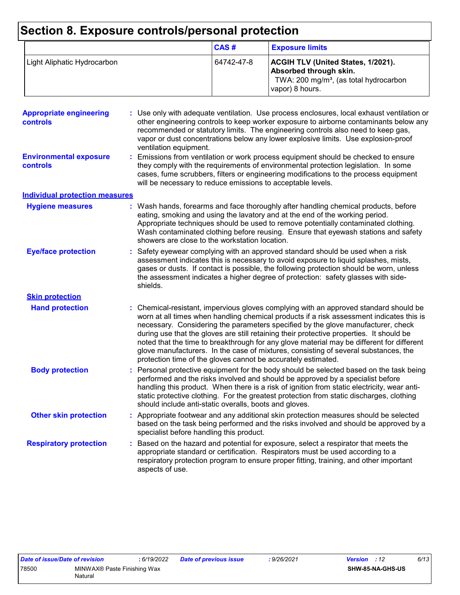# **Section 8. Exposure controls/personal protection**

|                             | CAS#       | <b>Exposure limits</b>                                                                                                                       |
|-----------------------------|------------|----------------------------------------------------------------------------------------------------------------------------------------------|
| Light Aliphatic Hydrocarbon | 64742-47-8 | <b>ACGIH TLV (United States, 1/2021).</b><br>Absorbed through skin.<br>TWA: 200 mg/m <sup>3</sup> , (as total hydrocarbon<br>vapor) 8 hours. |

| <b>Appropriate engineering</b><br>controls<br><b>Environmental exposure</b><br>controls | : Use only with adequate ventilation. Use process enclosures, local exhaust ventilation or<br>other engineering controls to keep worker exposure to airborne contaminants below any<br>recommended or statutory limits. The engineering controls also need to keep gas,<br>vapor or dust concentrations below any lower explosive limits. Use explosion-proof<br>ventilation equipment.<br>Emissions from ventilation or work process equipment should be checked to ensure<br>they comply with the requirements of environmental protection legislation. In some<br>cases, fume scrubbers, filters or engineering modifications to the process equipment<br>will be necessary to reduce emissions to acceptable levels. |
|-----------------------------------------------------------------------------------------|--------------------------------------------------------------------------------------------------------------------------------------------------------------------------------------------------------------------------------------------------------------------------------------------------------------------------------------------------------------------------------------------------------------------------------------------------------------------------------------------------------------------------------------------------------------------------------------------------------------------------------------------------------------------------------------------------------------------------|
| <b>Individual protection measures</b>                                                   |                                                                                                                                                                                                                                                                                                                                                                                                                                                                                                                                                                                                                                                                                                                          |
| <b>Hygiene measures</b>                                                                 | : Wash hands, forearms and face thoroughly after handling chemical products, before<br>eating, smoking and using the lavatory and at the end of the working period.<br>Appropriate techniques should be used to remove potentially contaminated clothing.<br>Wash contaminated clothing before reusing. Ensure that eyewash stations and safety<br>showers are close to the workstation location.                                                                                                                                                                                                                                                                                                                        |
| <b>Eye/face protection</b>                                                              | Safety eyewear complying with an approved standard should be used when a risk<br>assessment indicates this is necessary to avoid exposure to liquid splashes, mists,<br>gases or dusts. If contact is possible, the following protection should be worn, unless<br>the assessment indicates a higher degree of protection: safety glasses with side-<br>shields.                                                                                                                                                                                                                                                                                                                                                         |
| <b>Skin protection</b>                                                                  |                                                                                                                                                                                                                                                                                                                                                                                                                                                                                                                                                                                                                                                                                                                          |
| <b>Hand protection</b>                                                                  | : Chemical-resistant, impervious gloves complying with an approved standard should be<br>worn at all times when handling chemical products if a risk assessment indicates this is<br>necessary. Considering the parameters specified by the glove manufacturer, check<br>during use that the gloves are still retaining their protective properties. It should be<br>noted that the time to breakthrough for any glove material may be different for different<br>glove manufacturers. In the case of mixtures, consisting of several substances, the<br>protection time of the gloves cannot be accurately estimated.                                                                                                   |
| <b>Body protection</b>                                                                  | : Personal protective equipment for the body should be selected based on the task being<br>performed and the risks involved and should be approved by a specialist before<br>handling this product. When there is a risk of ignition from static electricity, wear anti-<br>static protective clothing. For the greatest protection from static discharges, clothing<br>should include anti-static overalls, boots and gloves.                                                                                                                                                                                                                                                                                           |
| <b>Other skin protection</b>                                                            | : Appropriate footwear and any additional skin protection measures should be selected<br>based on the task being performed and the risks involved and should be approved by a<br>specialist before handling this product.                                                                                                                                                                                                                                                                                                                                                                                                                                                                                                |
| <b>Respiratory protection</b>                                                           | : Based on the hazard and potential for exposure, select a respirator that meets the<br>appropriate standard or certification. Respirators must be used according to a<br>respiratory protection program to ensure proper fitting, training, and other important<br>aspects of use.                                                                                                                                                                                                                                                                                                                                                                                                                                      |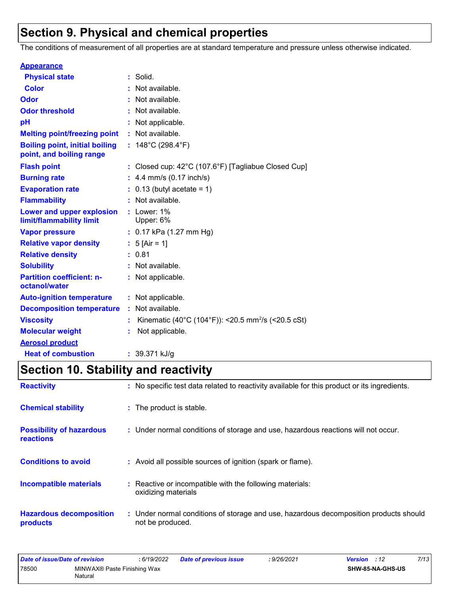# **Section 9. Physical and chemical properties**

The conditions of measurement of all properties are at standard temperature and pressure unless otherwise indicated.

| <b>Appearance</b>                                                 |   |                                                                |
|-------------------------------------------------------------------|---|----------------------------------------------------------------|
| <b>Physical state</b>                                             |   | : Solid.                                                       |
| <b>Color</b>                                                      |   | Not available.                                                 |
| Odor                                                              |   | Not available.                                                 |
| <b>Odor threshold</b>                                             |   | Not available.                                                 |
| рH                                                                | ÷ | Not applicable.                                                |
| <b>Melting point/freezing point</b>                               |   | : Not available.                                               |
| <b>Boiling point, initial boiling</b><br>point, and boiling range |   | : $148^{\circ}$ C (298.4 $^{\circ}$ F)                         |
| <b>Flash point</b>                                                |   | Closed cup: 42°C (107.6°F) [Tagliabue Closed Cup]              |
| <b>Burning rate</b>                                               |   | 4.4 mm/s (0.17 inch/s)                                         |
| <b>Evaporation rate</b>                                           |   | $0.13$ (butyl acetate = 1)                                     |
| <b>Flammability</b>                                               |   | Not available.                                                 |
| Lower and upper explosion<br>limit/flammability limit             |   | $:$ Lower: 1%<br>Upper: 6%                                     |
| <b>Vapor pressure</b>                                             |   | $: 0.17$ kPa (1.27 mm Hg)                                      |
| <b>Relative vapor density</b>                                     |   | : $5$ [Air = 1]                                                |
| <b>Relative density</b>                                           |   | 0.81                                                           |
| <b>Solubility</b>                                                 |   | Not available.                                                 |
| <b>Partition coefficient: n-</b><br>octanol/water                 |   | : Not applicable.                                              |
| <b>Auto-ignition temperature</b>                                  |   | : Not applicable.                                              |
| <b>Decomposition temperature</b>                                  |   | : Not available.                                               |
| <b>Viscosity</b>                                                  |   | Kinematic (40°C (104°F)): <20.5 mm <sup>2</sup> /s (<20.5 cSt) |
| <b>Molecular weight</b>                                           | ÷ | Not applicable.                                                |
| <b>Aerosol product</b>                                            |   |                                                                |
| <b>Heat of combustion</b>                                         |   | : 39.371 kJ/g                                                  |

# **Section 10. Stability and reactivity**

| <b>Reactivity</b>                            | : No specific test data related to reactivity available for this product or its ingredients.              |
|----------------------------------------------|-----------------------------------------------------------------------------------------------------------|
| <b>Chemical stability</b>                    | : The product is stable.                                                                                  |
| <b>Possibility of hazardous</b><br>reactions | : Under normal conditions of storage and use, hazardous reactions will not occur.                         |
| <b>Conditions to avoid</b>                   | : Avoid all possible sources of ignition (spark or flame).                                                |
| <b>Incompatible materials</b>                | : Reactive or incompatible with the following materials:<br>oxidizing materials                           |
| <b>Hazardous decomposition</b><br>products   | : Under normal conditions of storage and use, hazardous decomposition products should<br>not be produced. |

| Date of issue/Date of revision |                                        | : 6/19/2022 | Date of previous issue | 9/26/2021: | <b>Version</b> : 12     | 7/13 |
|--------------------------------|----------------------------------------|-------------|------------------------|------------|-------------------------|------|
| 78500                          | MINWAX® Paste Finishing Wax<br>Natural |             |                        |            | <b>SHW-85-NA-GHS-US</b> |      |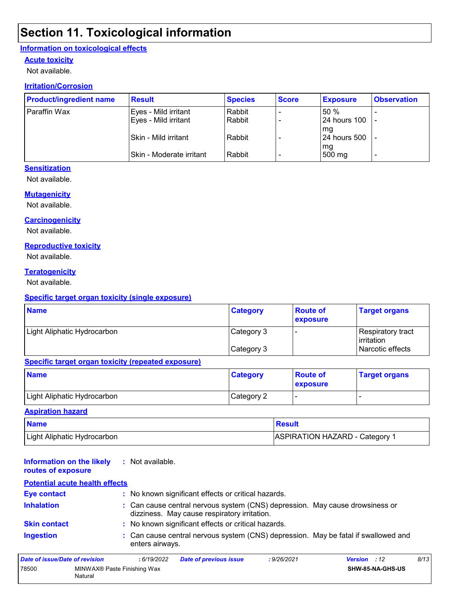# **Section 11. Toxicological information**

#### **Information on toxicological effects**

#### **Acute toxicity**

Not available.

#### **Irritation/Corrosion**

| <b>Product/ingredient name</b> | <b>Result</b>            | <b>Species</b> | <b>Score</b> | <b>Exposure</b>     | <b>Observation</b> |
|--------------------------------|--------------------------|----------------|--------------|---------------------|--------------------|
| Paraffin Wax                   | Eyes - Mild irritant     | Rabbit         |              | 50%                 |                    |
|                                | Eyes - Mild irritant     | Rabbit         |              | <b>24 hours 100</b> | ٠                  |
|                                | ISkin - Mild irritant    | Rabbit         |              | mg<br>24 hours 500  |                    |
|                                | Skin - Moderate irritant | Rabbit         |              | mg<br>500 mg        | -                  |

#### **Sensitization**

Not available.

#### **Mutagenicity**

Not available.

#### **Carcinogenicity**

Not available.

#### **Reproductive toxicity**

Not available.

#### **Teratogenicity**

Not available.

#### **Specific target organ toxicity (single exposure)**

| <b>Name</b>                 | <b>Category</b> | <b>Route of</b><br>exposure | <b>Target organs</b>                     |
|-----------------------------|-----------------|-----------------------------|------------------------------------------|
| Light Aliphatic Hydrocarbon | Category 3      |                             | Respiratory tract<br><b>l</b> irritation |
|                             | Category 3      |                             | Narcotic effects                         |

#### **Specific target organ toxicity (repeated exposure)**

| <b>Name</b>                 | <b>Category</b> | <b>Route of</b><br><b>Lexposure</b> | <b>Target organs</b> |
|-----------------------------|-----------------|-------------------------------------|----------------------|
| Light Aliphatic Hydrocarbon | Category 2      |                                     |                      |

#### **Aspiration hazard**

| <b>Name</b>                 | <b>Result</b>                         |
|-----------------------------|---------------------------------------|
| Light Aliphatic Hydrocarbon | <b>ASPIRATION HAZARD - Category 1</b> |

#### **Information on the likely routes of exposure :** Not available.

| <b>Potential acute health effects</b> |                                                                                                                              |  |
|---------------------------------------|------------------------------------------------------------------------------------------------------------------------------|--|
| <b>Eye contact</b>                    | : No known significant effects or critical hazards.                                                                          |  |
| <b>Inhalation</b>                     | : Can cause central nervous system (CNS) depression. May cause drowsiness or<br>dizziness. May cause respiratory irritation. |  |
| <b>Skin contact</b>                   | : No known significant effects or critical hazards.                                                                          |  |
| <b>Ingestion</b>                      | : Can cause central nervous system (CNS) depression. May be fatal if swallowed and<br>enters airways.                        |  |
| lato of iccup/Dato of rovicion.       | 9/1<br>.6/10/2022<br>.0/26/2021<br>V<br>Data of province issue                                                               |  |

| Date of issue/Date of revision |                                        | :6/19/2022 | <b>Date of previous issue</b> | : 9/26/2021 | <b>Version</b> : 12 |                         | 8/13 |
|--------------------------------|----------------------------------------|------------|-------------------------------|-------------|---------------------|-------------------------|------|
| 78500                          | MINWAX® Paste Finishing Wax<br>Natural |            |                               |             |                     | <b>SHW-85-NA-GHS-US</b> |      |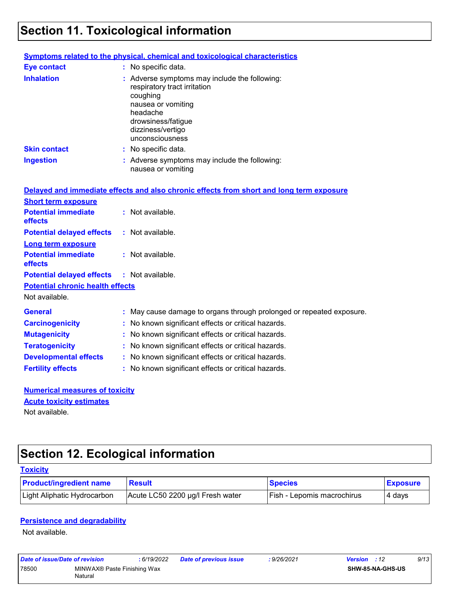# **Section 11. Toxicological information**

|                     | <b>Symptoms related to the physical, chemical and toxicological characteristics</b>                                                                                                       |
|---------------------|-------------------------------------------------------------------------------------------------------------------------------------------------------------------------------------------|
| <b>Eye contact</b>  | : No specific data.                                                                                                                                                                       |
| <b>Inhalation</b>   | : Adverse symptoms may include the following:<br>respiratory tract irritation<br>coughing<br>nausea or vomiting<br>headache<br>drowsiness/fatigue<br>dizziness/vertigo<br>unconsciousness |
| <b>Skin contact</b> | : No specific data.                                                                                                                                                                       |
| Ingestion           | : Adverse symptoms may include the following:<br>nausea or vomiting                                                                                                                       |

|                                                   | Delayed and immediate effects and also chronic effects from short and long term exposure |
|---------------------------------------------------|------------------------------------------------------------------------------------------|
| <b>Short term exposure</b>                        |                                                                                          |
| <b>Potential immediate</b><br><b>effects</b>      | $\therefore$ Not available.                                                              |
| <b>Potential delayed effects</b>                  | : Not available.                                                                         |
| <b>Long term exposure</b>                         |                                                                                          |
| <b>Potential immediate</b><br><b>effects</b>      | : Not available.                                                                         |
| <b>Potential delayed effects : Not available.</b> |                                                                                          |
| <b>Potential chronic health effects</b>           |                                                                                          |
| Not available.                                    |                                                                                          |
| <b>General</b>                                    | : May cause damage to organs through prolonged or repeated exposure.                     |
| <b>Carcinogenicity</b>                            | : No known significant effects or critical hazards.                                      |
| <b>Mutagenicity</b>                               | : No known significant effects or critical hazards.                                      |
| <b>Teratogenicity</b>                             | : No known significant effects or critical hazards.                                      |
| <b>Developmental effects</b>                      | : No known significant effects or critical hazards.                                      |
| <b>Fertility effects</b>                          | : No known significant effects or critical hazards.                                      |

#### **Numerical measures of toxicity** Not available. **Acute toxicity estimates**

# **Section 12. Ecological information**

| <b>Toxicity</b>                |                                  |                                   |                 |
|--------------------------------|----------------------------------|-----------------------------------|-----------------|
| <b>Product/ingredient name</b> | <b>Result</b>                    | <b>Species</b>                    | <b>Exposure</b> |
| Light Aliphatic Hydrocarbon    | Acute LC50 2200 µg/l Fresh water | <b>Fish - Lepomis macrochirus</b> | 4 days          |

#### **Persistence and degradability**

Not available.

| Date of issue/Date of revision |                                        | : 6/19/2022 | Date of previous issue | : 9/26/2021 | <b>Version</b> : 12 | 9/13 |
|--------------------------------|----------------------------------------|-------------|------------------------|-------------|---------------------|------|
| 78500                          | MINWAX® Paste Finishing Wax<br>Natural |             |                        |             | SHW-85-NA-GHS-US    |      |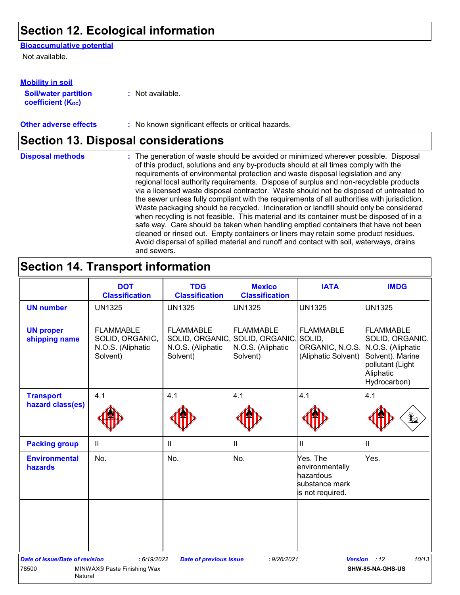## **Section 12. Ecological information**

#### **Bioaccumulative potential**

Not available.

#### **Mobility in soil**

**Soil/water partition coefficient (KOC)**

**:** Not available.

**Other adverse effects :** No known significant effects or critical hazards.

# **Section 13. Disposal considerations**

The generation of waste should be avoided or minimized wherever possible. Disposal of this product, solutions and any by-products should at all times comply with the requirements of environmental protection and waste disposal legislation and any regional local authority requirements. Dispose of surplus and non-recyclable products via a licensed waste disposal contractor. Waste should not be disposed of untreated to the sewer unless fully compliant with the requirements of all authorities with jurisdiction. Waste packaging should be recycled. Incineration or landfill should only be considered when recycling is not feasible. This material and its container must be disposed of in a safe way. Care should be taken when handling emptied containers that have not been cleaned or rinsed out. Empty containers or liners may retain some product residues. Avoid dispersal of spilled material and runoff and contact with soil, waterways, drains and sewers. **Disposal methods :**

### **Section 14. Transport information**

|                                       | <b>DOT</b><br><b>Classification</b>                                  | <b>TDG</b><br><b>Classification</b>                                  | <b>Mexico</b><br><b>Classification</b>                                      | <b>IATA</b>                                                                    | <b>IMDG</b>                                                                                                                   |
|---------------------------------------|----------------------------------------------------------------------|----------------------------------------------------------------------|-----------------------------------------------------------------------------|--------------------------------------------------------------------------------|-------------------------------------------------------------------------------------------------------------------------------|
| <b>UN number</b>                      | <b>UN1325</b>                                                        | <b>UN1325</b>                                                        | <b>UN1325</b>                                                               | <b>UN1325</b>                                                                  | <b>UN1325</b>                                                                                                                 |
| <b>UN proper</b><br>shipping name     | <b>FLAMMABLE</b><br>SOLID, ORGANIC,<br>N.O.S. (Aliphatic<br>Solvent) | <b>FLAMMABLE</b><br>SOLID, ORGANIC,<br>N.O.S. (Aliphatic<br>Solvent) | <b>FLAMMABLE</b><br>SOLID, ORGANIC, SOLID,<br>N.O.S. (Aliphatic<br>Solvent) | <b>FLAMMABLE</b><br>ORGANIC, N.O.S.<br>(Aliphatic Solvent)                     | <b>FLAMMABLE</b><br>SOLID, ORGANIC,<br>N.O.S. (Aliphatic<br>Solvent). Marine<br>pollutant (Light<br>Aliphatic<br>Hydrocarbon) |
| <b>Transport</b>                      | 4.1                                                                  | 4.1                                                                  | 4.1                                                                         | 4.1                                                                            | 4.1                                                                                                                           |
| hazard class(es)                      |                                                                      |                                                                      |                                                                             |                                                                                |                                                                                                                               |
| <b>Packing group</b>                  | $\mathop{\rm II}\nolimits$                                           | $\mathbf{II}$                                                        | $\mathbf{II}$                                                               | $\mathbf{I}$                                                                   | Ш                                                                                                                             |
| <b>Environmental</b><br>hazards       | No.                                                                  | No.                                                                  | No.                                                                         | Yes. The<br>environmentally<br>hazardous<br>substance mark<br>is not required. | Yes.                                                                                                                          |
|                                       |                                                                      |                                                                      |                                                                             |                                                                                |                                                                                                                               |
| <b>Date of issue/Date of revision</b> | : 6/19/2022                                                          | <b>Date of previous issue</b>                                        | : 9/26/2021                                                                 |                                                                                | 10/13<br>Version : 12                                                                                                         |
| 78500<br>Natural                      | MINWAX® Paste Finishing Wax                                          |                                                                      |                                                                             |                                                                                | SHW-85-NA-GHS-US                                                                                                              |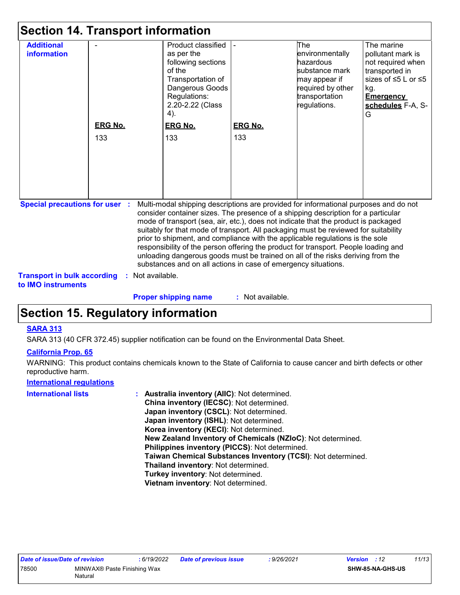| <b>information</b><br><b>ERG No.</b><br>133                                 |                  | as per the<br>following sections<br>of the<br>Transportation of<br>Dangerous Goods<br>Regulations:<br>2.20-2.22 (Class<br>4).<br><b>ERG No.</b> |                  | environmentally<br>hazardous<br>substance mark<br>may appear if<br>required by other<br>transportation<br>regulations.                                                                                                                                                                                                                                                                                                                                                                                                                                                                                            | pollutant mark is<br>not required when<br>transported in<br>sizes of ≤5 L or ≤5<br>kg.<br><b>Emergency</b><br>G |
|-----------------------------------------------------------------------------|------------------|-------------------------------------------------------------------------------------------------------------------------------------------------|------------------|-------------------------------------------------------------------------------------------------------------------------------------------------------------------------------------------------------------------------------------------------------------------------------------------------------------------------------------------------------------------------------------------------------------------------------------------------------------------------------------------------------------------------------------------------------------------------------------------------------------------|-----------------------------------------------------------------------------------------------------------------|
|                                                                             |                  |                                                                                                                                                 |                  |                                                                                                                                                                                                                                                                                                                                                                                                                                                                                                                                                                                                                   |                                                                                                                 |
|                                                                             |                  |                                                                                                                                                 |                  |                                                                                                                                                                                                                                                                                                                                                                                                                                                                                                                                                                                                                   |                                                                                                                 |
|                                                                             |                  |                                                                                                                                                 |                  |                                                                                                                                                                                                                                                                                                                                                                                                                                                                                                                                                                                                                   |                                                                                                                 |
|                                                                             |                  |                                                                                                                                                 |                  |                                                                                                                                                                                                                                                                                                                                                                                                                                                                                                                                                                                                                   | schedules F-A, S-                                                                                               |
|                                                                             |                  |                                                                                                                                                 |                  |                                                                                                                                                                                                                                                                                                                                                                                                                                                                                                                                                                                                                   |                                                                                                                 |
|                                                                             |                  |                                                                                                                                                 |                  |                                                                                                                                                                                                                                                                                                                                                                                                                                                                                                                                                                                                                   |                                                                                                                 |
|                                                                             |                  |                                                                                                                                                 | <b>ERG No.</b>   |                                                                                                                                                                                                                                                                                                                                                                                                                                                                                                                                                                                                                   |                                                                                                                 |
|                                                                             |                  | 133                                                                                                                                             | 133              |                                                                                                                                                                                                                                                                                                                                                                                                                                                                                                                                                                                                                   |                                                                                                                 |
|                                                                             |                  |                                                                                                                                                 |                  |                                                                                                                                                                                                                                                                                                                                                                                                                                                                                                                                                                                                                   |                                                                                                                 |
|                                                                             |                  |                                                                                                                                                 |                  |                                                                                                                                                                                                                                                                                                                                                                                                                                                                                                                                                                                                                   |                                                                                                                 |
|                                                                             |                  |                                                                                                                                                 |                  |                                                                                                                                                                                                                                                                                                                                                                                                                                                                                                                                                                                                                   |                                                                                                                 |
|                                                                             |                  |                                                                                                                                                 |                  |                                                                                                                                                                                                                                                                                                                                                                                                                                                                                                                                                                                                                   |                                                                                                                 |
|                                                                             |                  |                                                                                                                                                 |                  |                                                                                                                                                                                                                                                                                                                                                                                                                                                                                                                                                                                                                   |                                                                                                                 |
| <b>Special precautions for user :</b><br><b>Transport in bulk according</b> | : Not available. | substances and on all actions in case of emergency situations.                                                                                  |                  | Multi-modal shipping descriptions are provided for informational purposes and do not<br>consider container sizes. The presence of a shipping description for a particular<br>mode of transport (sea, air, etc.), does not indicate that the product is packaged<br>suitably for that mode of transport. All packaging must be reviewed for suitability<br>prior to shipment, and compliance with the applicable regulations is the sole<br>responsibility of the person offering the product for transport. People loading and<br>unloading dangerous goods must be trained on all of the risks deriving from the |                                                                                                                 |
| to <b>IMO</b> instruments                                                   |                  | <b>Proper shipping name</b>                                                                                                                     | : Not available. |                                                                                                                                                                                                                                                                                                                                                                                                                                                                                                                                                                                                                   |                                                                                                                 |

# **Section 15. Regulatory information**

#### **SARA 313**

SARA 313 (40 CFR 372.45) supplier notification can be found on the Environmental Data Sheet.

#### **California Prop. 65**

WARNING: This product contains chemicals known to the State of California to cause cancer and birth defects or other reproductive harm.

#### **International regulations**

| Australia inventory (AIIC): Not determined.                  |
|--------------------------------------------------------------|
| China inventory (IECSC): Not determined.                     |
| Japan inventory (CSCL): Not determined.                      |
| Japan inventory (ISHL): Not determined.                      |
| Korea inventory (KECI): Not determined.                      |
| New Zealand Inventory of Chemicals (NZIoC): Not determined.  |
| Philippines inventory (PICCS): Not determined.               |
| Taiwan Chemical Substances Inventory (TCSI): Not determined. |
| Thailand inventory: Not determined.                          |
| Turkey inventory: Not determined.                            |
| Vietnam inventory: Not determined.                           |
|                                                              |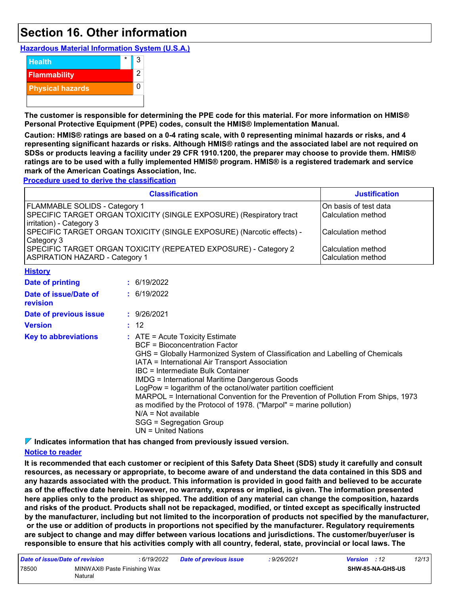## **Section 16. Other information**

**Hazardous Material Information System (U.S.A.)**



**The customer is responsible for determining the PPE code for this material. For more information on HMIS® Personal Protective Equipment (PPE) codes, consult the HMIS® Implementation Manual.**

**Caution: HMIS® ratings are based on a 0-4 rating scale, with 0 representing minimal hazards or risks, and 4 representing significant hazards or risks. Although HMIS® ratings and the associated label are not required on SDSs or products leaving a facility under 29 CFR 1910.1200, the preparer may choose to provide them. HMIS® ratings are to be used with a fully implemented HMIS® program. HMIS® is a registered trademark and service mark of the American Coatings Association, Inc.**

**Procedure used to derive the classification**

|                                                           | <b>Classification</b>                                                                                                                                                                                                                                                                                                                                                                                                                                                                                                                                                                                               | <b>Justification</b>                        |
|-----------------------------------------------------------|---------------------------------------------------------------------------------------------------------------------------------------------------------------------------------------------------------------------------------------------------------------------------------------------------------------------------------------------------------------------------------------------------------------------------------------------------------------------------------------------------------------------------------------------------------------------------------------------------------------------|---------------------------------------------|
| FLAMMABLE SOLIDS - Category 1<br>irritation) - Category 3 | SPECIFIC TARGET ORGAN TOXICITY (SINGLE EXPOSURE) (Respiratory tract                                                                                                                                                                                                                                                                                                                                                                                                                                                                                                                                                 | On basis of test data<br>Calculation method |
| Category 3                                                | SPECIFIC TARGET ORGAN TOXICITY (SINGLE EXPOSURE) (Narcotic effects) -                                                                                                                                                                                                                                                                                                                                                                                                                                                                                                                                               | Calculation method                          |
| <b>ASPIRATION HAZARD - Category 1</b>                     | SPECIFIC TARGET ORGAN TOXICITY (REPEATED EXPOSURE) - Category 2                                                                                                                                                                                                                                                                                                                                                                                                                                                                                                                                                     | Calculation method<br>Calculation method    |
| <b>History</b>                                            |                                                                                                                                                                                                                                                                                                                                                                                                                                                                                                                                                                                                                     |                                             |
| <b>Date of printing</b>                                   | : 6/19/2022                                                                                                                                                                                                                                                                                                                                                                                                                                                                                                                                                                                                         |                                             |
| Date of issue/Date of<br>revision                         | : 6/19/2022                                                                                                                                                                                                                                                                                                                                                                                                                                                                                                                                                                                                         |                                             |
| Date of previous issue                                    | : 9/26/2021                                                                                                                                                                                                                                                                                                                                                                                                                                                                                                                                                                                                         |                                             |
| <b>Version</b>                                            | : 12                                                                                                                                                                                                                                                                                                                                                                                                                                                                                                                                                                                                                |                                             |
| <b>Key to abbreviations</b>                               | $:$ ATE = Acute Toxicity Estimate<br><b>BCF</b> = Bioconcentration Factor<br>GHS = Globally Harmonized System of Classification and Labelling of Chemicals<br>IATA = International Air Transport Association<br>IBC = Intermediate Bulk Container<br><b>IMDG = International Maritime Dangerous Goods</b><br>LogPow = logarithm of the octanol/water partition coefficient<br>MARPOL = International Convention for the Prevention of Pollution From Ships, 1973<br>as modified by the Protocol of 1978. ("Marpol" = marine pollution)<br>$N/A = Not available$<br>SGG = Segregation Group<br>$UN = United Nations$ |                                             |

**Indicates information that has changed from previously issued version.**

#### **Notice to reader**

**It is recommended that each customer or recipient of this Safety Data Sheet (SDS) study it carefully and consult resources, as necessary or appropriate, to become aware of and understand the data contained in this SDS and any hazards associated with the product. This information is provided in good faith and believed to be accurate as of the effective date herein. However, no warranty, express or implied, is given. The information presented here applies only to the product as shipped. The addition of any material can change the composition, hazards and risks of the product. Products shall not be repackaged, modified, or tinted except as specifically instructed by the manufacturer, including but not limited to the incorporation of products not specified by the manufacturer, or the use or addition of products in proportions not specified by the manufacturer. Regulatory requirements are subject to change and may differ between various locations and jurisdictions. The customer/buyer/user is responsible to ensure that his activities comply with all country, federal, state, provincial or local laws. The** 

| Date of issue/Date of revision                  |  | : 6/19/2022 | <b>Date of previous issue</b> | : 9/26/2021 | <b>Version</b> : 12 |                         | 12/13 |
|-------------------------------------------------|--|-------------|-------------------------------|-------------|---------------------|-------------------------|-------|
| 78500<br>MINWAX® Paste Finishing Wax<br>Natural |  |             |                               |             |                     | <b>SHW-85-NA-GHS-US</b> |       |